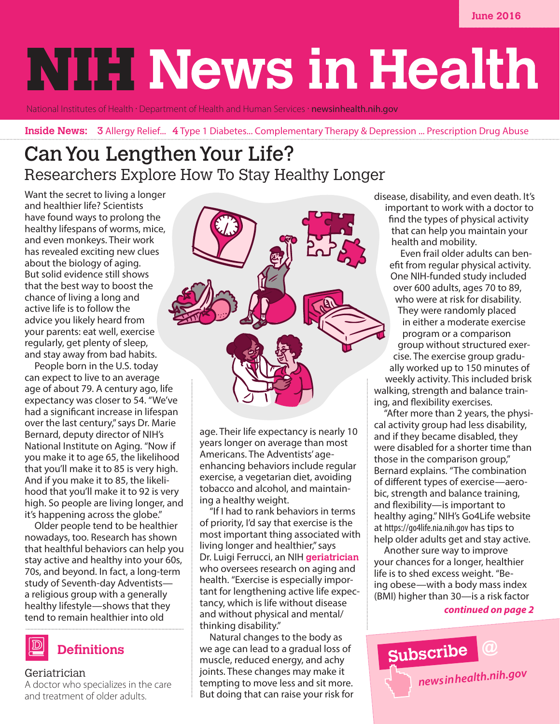# **NTH News in Health**

National Institutes of Health · Department of Health and Human Services · **[newsinhealth.nih.gov](http://newsinhealth.nih.gov)** 

### **Inside News:** 3 Allergy Relief... 4 Type 1 Diabetes... Complementary Therapy & Depression ... Prescription Drug Abuse

# Can You Lengthen Your Life? Researchers Explore How To Stay Healthy Longer

Want the secret to living a longer and healthier life? Scientists have found ways to prolong the healthy lifespans of worms, mice, and even monkeys. Their work has revealed exciting new clues about the biology of aging. But solid evidence still shows that the best way to boost the chance of living a long and active life is to follow the advice you likely heard from your parents: eat well, exercise regularly, get plenty of sleep, and stay away from bad habits.

People born in the U.S. today can expect to live to an average age of about 79. A century ago, life expectancy was closer to 54. "We've had a significant increase in lifespan over the last century," says Dr. Marie Bernard, deputy director of NIH's National Institute on Aging. "Now if you make it to age 65, the likelihood that you'll make it to 85 is very high. And if you make it to 85, the likelihood that you'll make it to 92 is very high. So people are living longer, and it's happening across the globe."

Older people tend to be healthier nowadays, too. Research has shown that healthful behaviors can help you stay active and healthy into your 60s, 70s, and beyond. In fact, a long-term study of Seventh-day Adventists a religious group with a generally healthy lifestyle—shows that they tend to remain healthier into old



### **Definitions**

### Geriatrician

A doctor who specializes in the care and treatment of older adults.



age. Their life expectancy is nearly 10 years longer on average than most Americans. The Adventists' ageenhancing behaviors include regular exercise, a vegetarian diet, avoiding tobacco and alcohol, and maintaining a healthy weight.

"If I had to rank behaviors in terms of priority, I'd say that exercise is the most important thing associated with living longer and healthier," says Dr. Luigi Ferrucci, an NIH **geriatrician** who oversees research on aging and health. "Exercise is especially important for lengthening active life expectancy, which is life without disease and without physical and mental/ thinking disability."

Natural changes to the body as we age can lead to a gradual loss of muscle, reduced energy, and achy joints. These changes may make it tempting to move less and sit more. But doing that can raise your risk for disease, disability, and even death. It's important to work with a doctor to find the types of physical activity that can help you maintain your health and mobility.

Even frail older adults can benefit from regular physical activity. One NIH-funded study included over 600 adults, ages 70 to 89, who were at risk for disability. They were randomly placed in either a moderate exercise program or a comparison group without structured exercise. The exercise group gradually worked up to 150 minutes of weekly activity. This included brisk walking, strength and balance training, and flexibility exercises.

"After more than 2 years, the physical activity group had less disability, and if they became disabled, they were disabled for a shorter time than those in the comparison group," Bernard explains. "The combination of different types of exercise—aerobic, strength and balance training, and flexibility—is important to healthy aging." NIH's Go4Life website at https://go4life.nia.nih.gov has tips to help older adults get and stay active.

Another sure way to improve your chances for a longer, healthier life is to shed excess weight. "Being obese—with a body mass index (BMI) higher than 30—is a risk factor

### *continued on page 2*

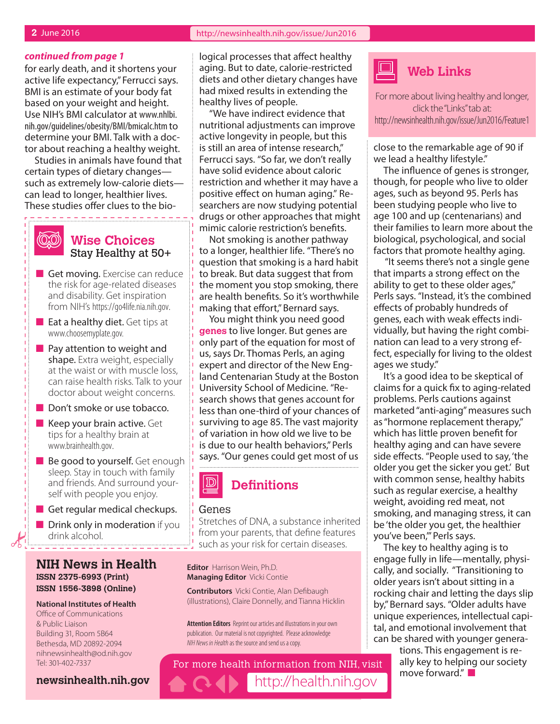#### <http://newsinhealth.nih.gov/issue/Jun2016>

#### **2** June 2016

### *continued from page 1*

for early death, and it shortens your active life expectancy," Ferrucci says. BMI is an estimate of your body fat based on your weight and height. Use NIH's BMI calculator at www.nhlbi. nih.gov/guidelines/obesity/BMI/bmicalc.htm to determine your BMI. Talk with a doctor about reaching a healthy weight.

Studies in animals have found that certain types of dietary changes such as extremely low-calorie diets can lead to longer, healthier lives. These studies offer clues to the bio-

#### (QQ) **Wise Choices** Stay Healthy at 50+

- $\blacksquare$  Get moving. Exercise can reduce the risk for age-related diseases and disability. Get inspiration from NIH's https://go4life.nia.nih.gov.
- $\blacksquare$  Eat a healthy diet. Get tips at www.choosemyplate.gov.
- $\blacksquare$  Pay attention to weight and shape. Extra weight, especially at the waist or with muscle loss, can raise health risks. Talk to your doctor about weight concerns.
- Don't smoke or use tobacco.
- $\blacksquare$  Keep your brain active. Get tips for a healthy brain at www.brainhealth.gov.
- $\blacksquare$  Be good to yourself. Get enough sleep. Stay in touch with family and friends. And surround yourself with people you enjoy.
- $\blacksquare$  Get regular medical checkups.
- $\blacksquare$  Drink only in moderation if you drink alcohol.

### **NIH News in Health ISSN 2375-6993 (Print) ISSN 1556-3898 (Online)**

#### **National Institutes of Health** Office of Communications & Public Liaison Building 31, Room 5B64 Bethesda, MD 20892-2094 nihnewsinhealth@od.nih.gov Tel: 301-402-7337

**newsinhealth.nih.gov A A http://health.nih.gov** 

logical processes that affect healthy aging. But to date, calorie-restricted diets and other dietary changes have had mixed results in extending the healthy lives of people.

"We have indirect evidence that nutritional adjustments can improve active longevity in people, but this is still an area of intense research," Ferrucci says. "So far, we don't really have solid evidence about caloric restriction and whether it may have a positive effect on human aging." Researchers are now studying potential drugs or other approaches that might mimic calorie restriction's benefits.

Not smoking is another pathway to a longer, healthier life. "There's no question that smoking is a hard habit to break. But data suggest that from the moment you stop smoking, there are health benefits. So it's worthwhile making that effort," Bernard says.

You might think you need good **genes** to live longer. But genes are only part of the equation for most of us, says Dr. Thomas Perls, an aging expert and director of the New England Centenarian Study at the Boston University School of Medicine. "Research shows that genes account for less than one-third of your chances of surviving to age 85. The vast majority of variation in how old we live to be is due to our health behaviors," Perls says. "Our genes could get most of us



### Genes

Stretches of DNA, a substance inherited from your parents, that define features such as your risk for certain diseases.

**Editor** Harrison Wein, Ph.D. **Managing Editor** Vicki Contie

**Contributors** Vicki Contie, Alan Defibaugh (illustrations), Claire Donnelly, and Tianna Hicklin

**Attention Editors** Reprint our articles and illustrations in your own publication. Our material is not copyrighted. Please acknowledge *NIH News in Health* as the source and send us a copy.

For more health information from NIH, visit



For more about living healthy and longer, click the "Links" tab at: <http://newsinhealth.nih.gov/issue/Jun2016/Feature1>

close to the remarkable age of 90 if we lead a healthy lifestyle."

The influence of genes is stronger, though, for people who live to older ages, such as beyond 95. Perls has been studying people who live to age 100 and up (centenarians) and their families to learn more about the biological, psychological, and social factors that promote healthy aging.

 "It seems there's not a single gene that imparts a strong effect on the ability to get to these older ages," Perls says. "Instead, it's the combined effects of probably hundreds of genes, each with weak effects individually, but having the right combination can lead to a very strong effect, especially for living to the oldest ages we study."

It's a good idea to be skeptical of claims for a quick fix to aging-related problems. Perls cautions against marketed "anti-aging" measures such as "hormone replacement therapy," which has little proven benefit for healthy aging and can have severe side effects. "People used to say, 'the older you get the sicker you get.' But with common sense, healthy habits such as regular exercise, a healthy weight, avoiding red meat, not smoking, and managing stress, it can be 'the older you get, the healthier you've been,'" Perls says.

The key to healthy aging is to engage fully in life—mentally, physically, and socially. "Transitioning to older years isn't about sitting in a rocking chair and letting the days slip by," Bernard says. "Older adults have unique experiences, intellectual capital, and emotional involvement that can be shared with younger genera-

> tions. This engagement is really key to helping our society move forward."  $\blacksquare$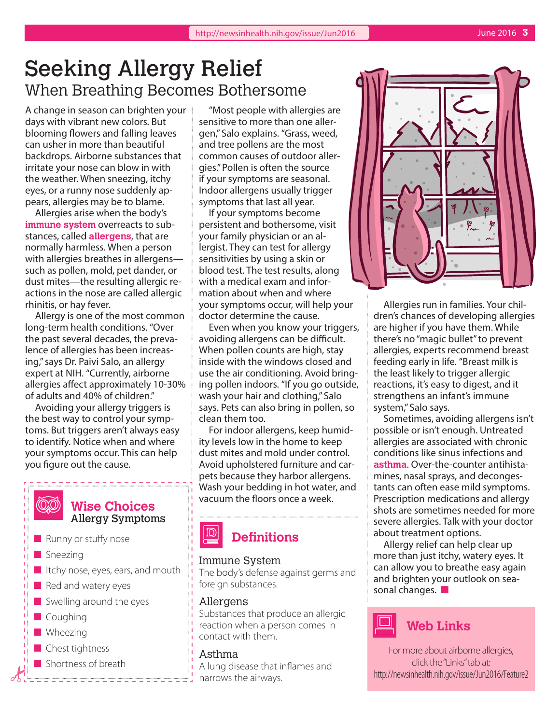# Seeking Allergy Relief When Breathing Becomes Bothersome

A change in season can brighten your days with vibrant new colors. But blooming flowers and falling leaves can usher in more than beautiful backdrops. Airborne substances that irritate your nose can blow in with the weather. When sneezing, itchy eyes, or a runny nose suddenly appears, allergies may be to blame.

Allergies arise when the body's **immune system** overreacts to substances, called **allergens**, that are normally harmless. When a person with allergies breathes in allergens such as pollen, mold, pet dander, or dust mites—the resulting allergic reactions in the nose are called allergic rhinitis, or hay fever.

Allergy is one of the most common long-term health conditions. "Over the past several decades, the prevalence of allergies has been increasing," says Dr. Paivi Salo, an allergy expert at NIH. "Currently, airborne allergies affect approximately 10-30% of adults and 40% of children."

Avoiding your allergy triggers is the best way to control your symptoms. But triggers aren't always easy to identify. Notice when and where your symptoms occur. This can help you figure out the cause.

#### ௵ **Wise Choices** Allergy Symptoms

- $\blacksquare$  Runny or stuffy nose
- $\blacksquare$  Sneezing
- $\blacksquare$  Itchy nose, eyes, ears, and mouth
- $\blacksquare$  Red and watery eyes
- $\blacksquare$  Swelling around the eyes
- $\blacksquare$  Coughing
- $\blacksquare$  Wheezing
- $\blacksquare$  Chest tightness
- $\blacksquare$  Shortness of breath

"Most people with allergies are sensitive to more than one allergen," Salo explains. "Grass, weed, and tree pollens are the most common causes of outdoor allergies." Pollen is often the source if your symptoms are seasonal. Indoor allergens usually trigger symptoms that last all year.

If your symptoms become persistent and bothersome, visit your family physician or an allergist. They can test for allergy sensitivities by using a skin or blood test. The test results, along with a medical exam and information about when and where your symptoms occur, will help your doctor determine the cause.

Even when you know your triggers, avoiding allergens can be difficult. When pollen counts are high, stay inside with the windows closed and use the air conditioning. Avoid bringing pollen indoors. "If you go outside, wash your hair and clothing," Salo says. Pets can also bring in pollen, so clean them too.

For indoor allergens, keep humidity levels low in the home to keep dust mites and mold under control. Avoid upholstered furniture and carpets because they harbor allergens. Wash your bedding in hot water, and vacuum the floors once a week.

## **Definitions**

### Immune System

The body's defense against germs and foreign substances.

### Allergens

Substances that produce an allergic reaction when a person comes in contact with them.

### Asthma

A lung disease that inflames and narrows the airways.



Allergies run in families. Your children's chances of developing allergies are higher if you have them. While there's no "magic bullet" to prevent allergies, experts recommend breast feeding early in life. "Breast milk is the least likely to trigger allergic reactions, it's easy to digest, and it strengthens an infant's immune system," Salo says.

Sometimes, avoiding allergens isn't possible or isn't enough. Untreated allergies are associated with chronic conditions like sinus infections and **asthma**. Over-the-counter antihistamines, nasal sprays, and decongestants can often ease mild symptoms. Prescription medications and allergy shots are sometimes needed for more severe allergies. Talk with your doctor about treatment options.

Allergy relief can help clear up more than just itchy, watery eyes. It can allow you to breathe easy again and brighten your outlook on seasonal changes.  $\blacksquare$ 



For more about airborne allergies, click the "Links" tab at: <http://newsinhealth.nih.gov/issue/Jun2016/Feature2>